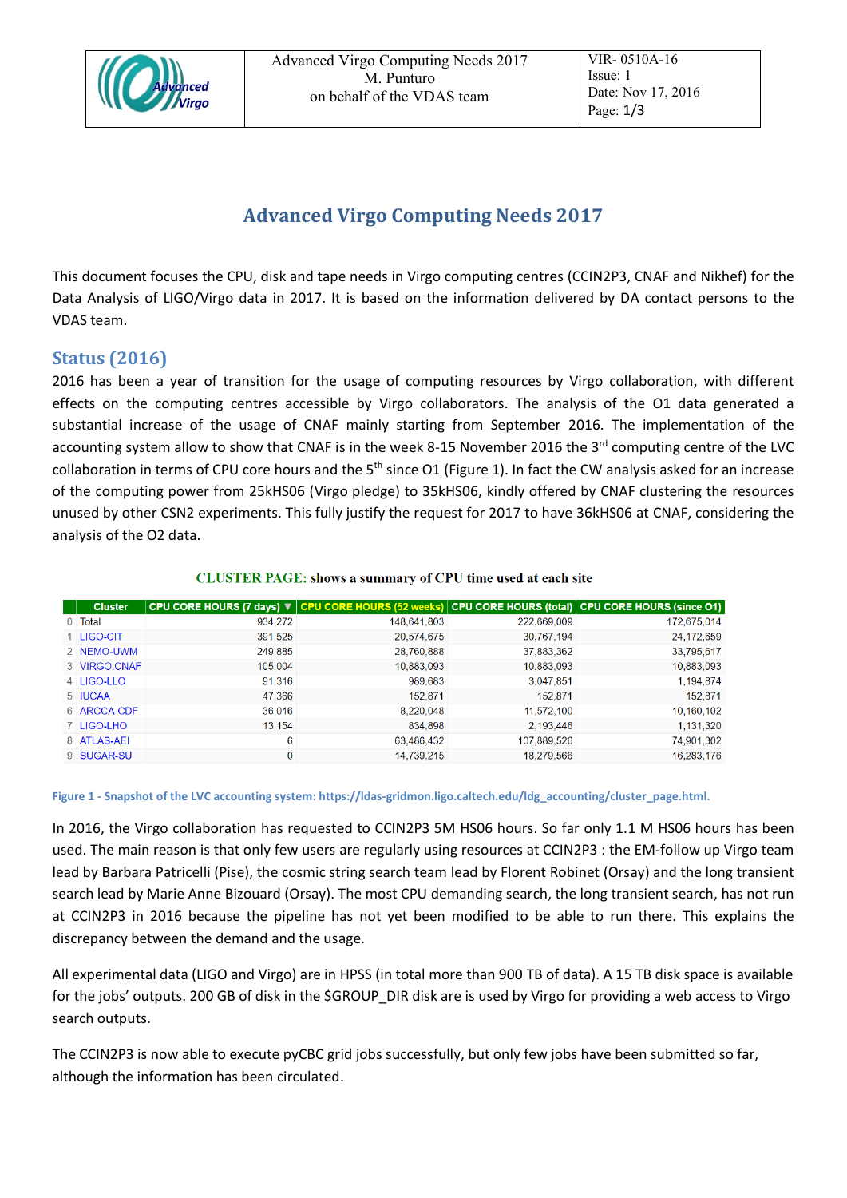

# **Advanced Virgo Computing Needs 2017**

This document focuses the CPU, disk and tape needs in Virgo computing centres (CCIN2P3, CNAF and Nikhef) for the Data Analysis of LIGO/Virgo data in 2017. It is based on the information delivered by DA contact persons to the VDAS team.

## **Status (2016)**

2016 has been a year of transition for the usage of computing resources by Virgo collaboration, with different effects on the computing centres accessible by Virgo collaborators. The analysis of the O1 data generated a substantial increase of the usage of CNAF mainly starting from September 2016. The implementation of the accounting system allow to show that CNAF is in the week 8-15 November 2016 the 3<sup>rd</sup> computing centre of the LVC collaboration in terms of CPU core hours and the  $5<sup>th</sup>$  since O1 [\(Figure 1\)](#page-0-0). In fact the CW analysis asked for an increase of the computing power from 25kHS06 (Virgo pledge) to 35kHS06, kindly offered by CNAF clustering the resources unused by other CSN2 experiments. This fully justify the request for 2017 to have 36kHS06 at CNAF, considering the analysis of the O2 data.

| <b>Cluster</b> |         | CPU CORE HOURS (7 days) ▼ CPU CORE HOURS (52 weeks) CPU CORE HOURS (total) CPU CORE HOURS (since O1) |             |             |
|----------------|---------|------------------------------------------------------------------------------------------------------|-------------|-------------|
| 0 Total        | 934.272 | 148,641,803                                                                                          | 222,669,009 | 172,675,014 |
| 1 LIGO-CIT     | 391,525 | 20,574,675                                                                                           | 30.767.194  | 24,172,659  |
| 2 NEMO-UWM     | 249,885 | 28,760,888                                                                                           | 37,883,362  | 33,795,617  |
| 3 VIRGO.CNAF   | 105,004 | 10,883,093                                                                                           | 10,883,093  | 10,883,093  |
| 4 LIGO-LLO     | 91.316  | 989.683                                                                                              | 3,047,851   | 1,194,874   |
| 5 IUCAA        | 47.366  | 152.871                                                                                              | 152.871     | 152,871     |
| 6 ARCCA-CDF    | 36,016  | 8,220,048                                                                                            | 11.572.100  | 10,160,102  |
| 7 LIGO-LHO     | 13,154  | 834,898                                                                                              | 2.193.446   | 1,131,320   |
| 8 ATLAS-AEI    | 6       | 63,486,432                                                                                           | 107,889,526 | 74,901,302  |
| 9 SUGAR-SU     | 0       | 14.739.215                                                                                           | 18.279.566  | 16.283.176  |

### **CLUSTER PAGE: shows a summary of CPU time used at each site**

#### <span id="page-0-0"></span>**Figure 1 - Snapshot of the LVC accounting system: https://ldas-gridmon.ligo.caltech.edu/ldg\_accounting/cluster\_page.html.**

In 2016, the Virgo collaboration has requested to CCIN2P3 5M HS06 hours. So far only 1.1 M HS06 hours has been used. The main reason is that only few users are regularly using resources at CCIN2P3 : the EM-follow up Virgo team lead by Barbara Patricelli (Pise), the cosmic string search team lead by Florent Robinet (Orsay) and the long transient search lead by Marie Anne Bizouard (Orsay). The most CPU demanding search, the long transient search, has not run at CCIN2P3 in 2016 because the pipeline has not yet been modified to be able to run there. This explains the discrepancy between the demand and the usage.

All experimental data (LIGO and Virgo) are in HPSS (in total more than 900 TB of data). A 15 TB disk space is available for the jobs' outputs. 200 GB of disk in the \$GROUP\_DIR disk are is used by Virgo for providing a web access to Virgo search outputs.

The CCIN2P3 is now able to execute pyCBC grid jobs successfully, but only few jobs have been submitted so far, although the information has been circulated.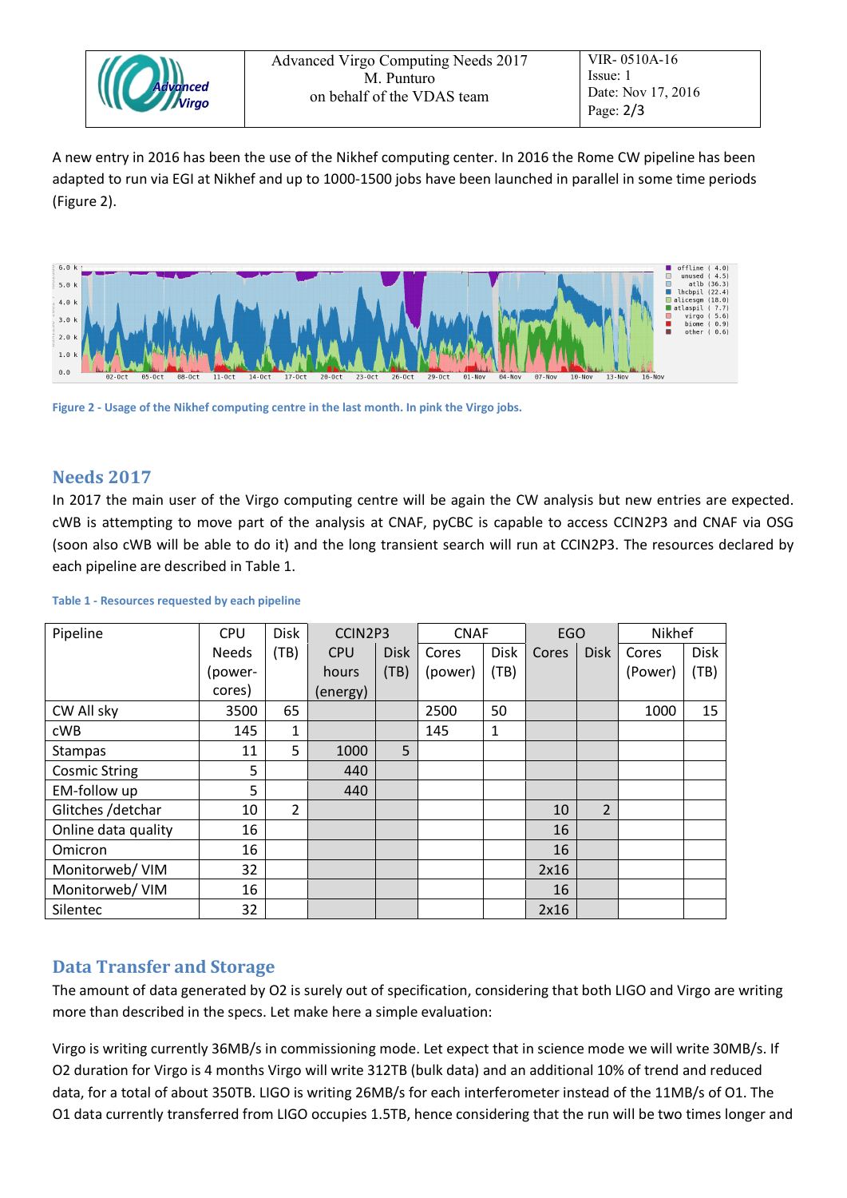| <b>CAdvanced</b> | Advanced Virgo Computing Needs 2017<br>M. Punturo<br>on behalf of the VDAS team |
|------------------|---------------------------------------------------------------------------------|
|------------------|---------------------------------------------------------------------------------|

A new entry in 2016 has been the use of the Nikhef computing center. In 2016 the Rome CW pipeline has been adapted to run via EGI at Nikhef and up to 1000-1500 jobs have been launched in parallel in some time periods [\(Figure 2\)](#page-1-0).



<span id="page-1-0"></span>**Figure 2 - Usage of the Nikhef computing centre in the last month. In pink the Virgo jobs.**

## **Needs 2017**

In 2017 the main user of the Virgo computing centre will be again the CW analysis but new entries are expected. cWB is attempting to move part of the analysis at CNAF, pyCBC is capable to access CCIN2P3 and CNAF via OSG (soon also cWB will be able to do it) and the long transient search will run at CCIN2P3. The resources declared by each pipeline are described in [Table 1.](#page-1-1)

| Pipeline             | <b>CPU</b>   | <b>Disk</b>    | CCIN2P3    |             | <b>CNAF</b> |             | <b>EGO</b> |                | Nikhef  |             |
|----------------------|--------------|----------------|------------|-------------|-------------|-------------|------------|----------------|---------|-------------|
|                      | <b>Needs</b> | (TB)           | <b>CPU</b> | <b>Disk</b> | Cores       | <b>Disk</b> | Cores      | <b>Disk</b>    | Cores   | <b>Disk</b> |
|                      | (power-      |                | hours      | (TB)        | (power)     | (TB)        |            |                | (Power) | (TB)        |
|                      | cores)       |                | (energy)   |             |             |             |            |                |         |             |
| CW All sky           | 3500         | 65             |            |             | 2500        | 50          |            |                | 1000    | 15          |
| cWB                  | 145          | 1              |            |             | 145         | 1           |            |                |         |             |
| Stampas              | 11           | 5              | 1000       | 5           |             |             |            |                |         |             |
| <b>Cosmic String</b> | 5            |                | 440        |             |             |             |            |                |         |             |
| EM-follow up         | 5            |                | 440        |             |             |             |            |                |         |             |
| Glitches /detchar    | 10           | $\overline{2}$ |            |             |             |             | 10         | $\overline{2}$ |         |             |
| Online data quality  | 16           |                |            |             |             |             | 16         |                |         |             |
| Omicron              | 16           |                |            |             |             |             | 16         |                |         |             |
| Monitorweb/ VIM      | 32           |                |            |             |             |             | 2x16       |                |         |             |
| Monitorweb/ VIM      | 16           |                |            |             |             |             | 16         |                |         |             |
| Silentec             | 32           |                |            |             |             |             | 2x16       |                |         |             |

<span id="page-1-1"></span>**Table 1 - Resources requested by each pipeline**

## **Data Transfer and Storage**

The amount of data generated by O2 is surely out of specification, considering that both LIGO and Virgo are writing more than described in the specs. Let make here a simple evaluation:

Virgo is writing currently 36MB/s in commissioning mode. Let expect that in science mode we will write 30MB/s. If O2 duration for Virgo is 4 months Virgo will write 312TB (bulk data) and an additional 10% of trend and reduced data, for a total of about 350TB. LIGO is writing 26MB/s for each interferometer instead of the 11MB/s of O1. The O1 data currently transferred from LIGO occupies 1.5TB, hence considering that the run will be two times longer and